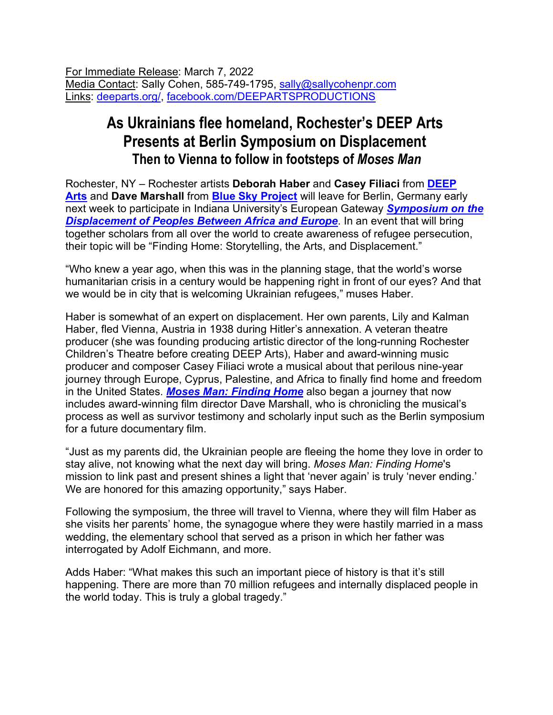For Immediate Release: March 7, 2022 Media Contact: Sally Cohen, 585-749-1795, sally@sallycohenpr.com Links: deeparts.org/, facebook.com/DEEPARTSPRODUCTIONS

## **As Ukrainians flee homeland, Rochester's DEEP Arts Presents at Berlin Symposium on Displacement Then to Vienna to follow in footsteps of** *Moses Man*

Rochester, NY – Rochester artists **Deborah Haber** and **Casey Filiaci** from **DEEP Arts** and **Dave Marshall** from **Blue Sky Project** will leave for Berlin, Germany early next week to participate in Indiana University's European Gateway *Symposium on the*  **Displacement of Peoples Between Africa and Europe**. In an event that will bring together scholars from all over the world to create awareness of refugee persecution, their topic will be "Finding Home: Storytelling, the Arts, and Displacement."

"Who knew a year ago, when this was in the planning stage, that the world's worse humanitarian crisis in a century would be happening right in front of our eyes? And that we would be in city that is welcoming Ukrainian refugees," muses Haber.

Haber is somewhat of an expert on displacement. Her own parents, Lily and Kalman Haber, fled Vienna, Austria in 1938 during Hitler's annexation. A veteran theatre producer (she was founding producing artistic director of the long-running Rochester Children's Theatre before creating DEEP Arts), Haber and award-winning music producer and composer Casey Filiaci wrote a musical about that perilous nine-year journey through Europe, Cyprus, Palestine, and Africa to finally find home and freedom in the United States. *Moses Man: Finding Home* also began a journey that now includes award-winning film director Dave Marshall, who is chronicling the musical's process as well as survivor testimony and scholarly input such as the Berlin symposium for a future documentary film.

"Just as my parents did, the Ukrainian people are fleeing the home they love in order to stay alive, not knowing what the next day will bring. *Moses Man: Finding Home*'s mission to link past and present shines a light that 'never again' is truly 'never ending.' We are honored for this amazing opportunity," says Haber.

Following the symposium, the three will travel to Vienna, where they will film Haber as she visits her parents' home, the synagogue where they were hastily married in a mass wedding, the elementary school that served as a prison in which her father was interrogated by Adolf Eichmann, and more.

Adds Haber: "What makes this such an important piece of history is that it's still happening. There are more than 70 million refugees and internally displaced people in the world today. This is truly a global tragedy."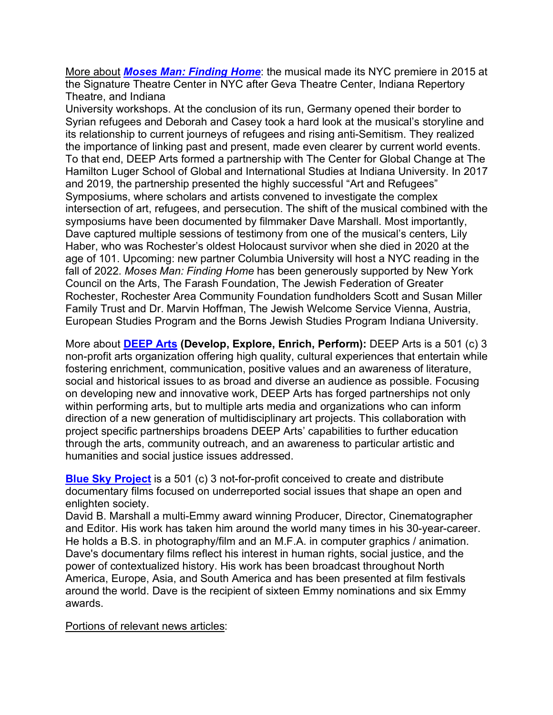More about *Moses Man: Finding Home*: the musical made its NYC premiere in 2015 at the Signature Theatre Center in NYC after Geva Theatre Center, Indiana Repertory Theatre, and Indiana

University workshops. At the conclusion of its run, Germany opened their border to Syrian refugees and Deborah and Casey took a hard look at the musical's storyline and its relationship to current journeys of refugees and rising anti-Semitism. They realized the importance of linking past and present, made even clearer by current world events. To that end, DEEP Arts formed a partnership with The Center for Global Change at The Hamilton Luger School of Global and International Studies at Indiana University. In 2017 and 2019, the partnership presented the highly successful "Art and Refugees" Symposiums, where scholars and artists convened to investigate the complex intersection of art, refugees, and persecution. The shift of the musical combined with the symposiums have been documented by filmmaker Dave Marshall. Most importantly, Dave captured multiple sessions of testimony from one of the musical's centers, Lily Haber, who was Rochester's oldest Holocaust survivor when she died in 2020 at the age of 101. Upcoming: new partner Columbia University will host a NYC reading in the fall of 2022. *Moses Man: Finding Home* has been generously supported by New York Council on the Arts, The Farash Foundation, The Jewish Federation of Greater Rochester, Rochester Area Community Foundation fundholders Scott and Susan Miller Family Trust and Dr. Marvin Hoffman, The Jewish Welcome Service Vienna, Austria, European Studies Program and the Borns Jewish Studies Program Indiana University.

More about **DEEP Arts (Develop, Explore, Enrich, Perform):** DEEP Arts is a 501 (c) 3 non-profit arts organization offering high quality, cultural experiences that entertain while fostering enrichment, communication, positive values and an awareness of literature, social and historical issues to as broad and diverse an audience as possible. Focusing on developing new and innovative work, DEEP Arts has forged partnerships not only within performing arts, but to multiple arts media and organizations who can inform direction of a new generation of multidisciplinary art projects. This collaboration with project specific partnerships broadens DEEP Arts' capabilities to further education through the arts, community outreach, and an awareness to particular artistic and humanities and social justice issues addressed.

**Blue Sky Project** is a 501 (c) 3 not-for-profit conceived to create and distribute documentary films focused on underreported social issues that shape an open and enlighten society.

David B. Marshall a multi-Emmy award winning Producer, Director, Cinematographer and Editor. His work has taken him around the world many times in his 30-year-career. He holds a B.S. in photography/film and an M.F.A. in computer graphics / animation. Dave's documentary films reflect his interest in human rights, social justice, and the power of contextualized history. His work has been broadcast throughout North America, Europe, Asia, and South America and has been presented at film festivals around the world. Dave is the recipient of sixteen Emmy nominations and six Emmy awards.

Portions of relevant news articles: